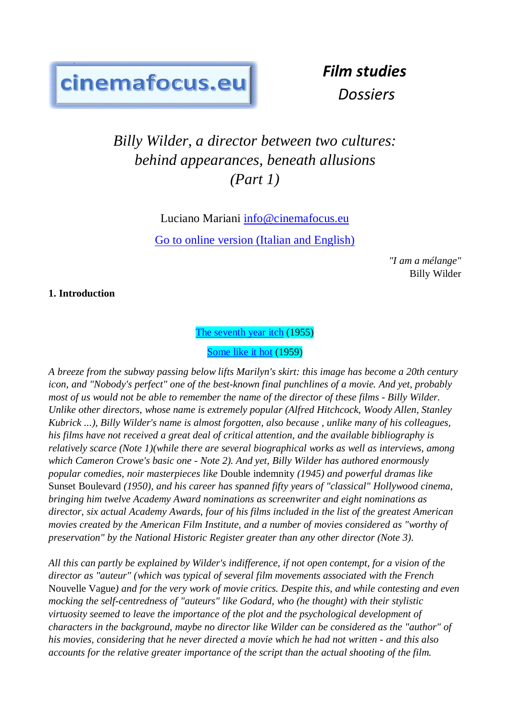# cinemafocus.eu

*Film studies Dossiers*

# *Billy Wilder, a director between two cultures: behind appearances, beneath allusions (Part 1)*

Luciano Mariani [info@cinemafocus.eu](mailto:info@cinemafocus.eu) Go to online version [\(Italian and English\)](http://www.cinemafocus.eu/Studi%20sul%20cinema/wilder1.html)

> *"I am a mélange"* Billy Wilder

**1. Introduction**

[The seventh year itch](https://youtu.be/fIh6HDeXKGY) (1955)

[Some like it hot](https://youtu.be/-mHhr-aaLnI) (1959)

*A breeze from the subway passing below lifts Marilyn's skirt: this image has become a 20th century icon, and "Nobody's perfect" one of the best-known final punchlines of a movie. And yet, probably most of us would not be able to remember the name of the director of these films - Billy Wilder. Unlike other directors, whose name is extremely popular (Alfred Hitchcock, Woody Allen, Stanley Kubrick ...), Billy Wilder's name is almost forgotten, also because , unlike many of his colleagues, his films have not received a great deal of critical attention, and the available bibliography is relatively scarce (Note 1)(while there are several biographical works as well as interviews, among which Cameron Crowe's basic one - Note 2). And yet, Billy Wilder has authored enormously popular comedies, noir masterpieces like* Double indemnity *(1945) and powerful dramas like*  Sunset Boulevard *(1950), and his career has spanned fifty years of "classical" Hollywood cinema, bringing him twelve Academy Award nominations as screenwriter and eight nominations as director, six actual Academy Awards, four of his films included in the list of the greatest American movies created by the American Film Institute, and a number of movies considered as "worthy of preservation" by the National Historic Register greater than any other director (Note 3).*

*All this can partly be explained by Wilder's indifference, if not open contempt, for a vision of the director as "auteur" (which was typical of several film movements associated with the French*  Nouvelle Vague*) and for the very work of movie critics. Despite this, and while contesting and even mocking the self-centredness of "auteurs" like Godard, who (he thought) with their stylistic virtuosity seemed to leave the importance of the plot and the psychological development of characters in the background, maybe no director like Wilder can be considered as the "author" of his movies, considering that he never directed a movie which he had not written - and this also accounts for the relative greater importance of the script than the actual shooting of the film.*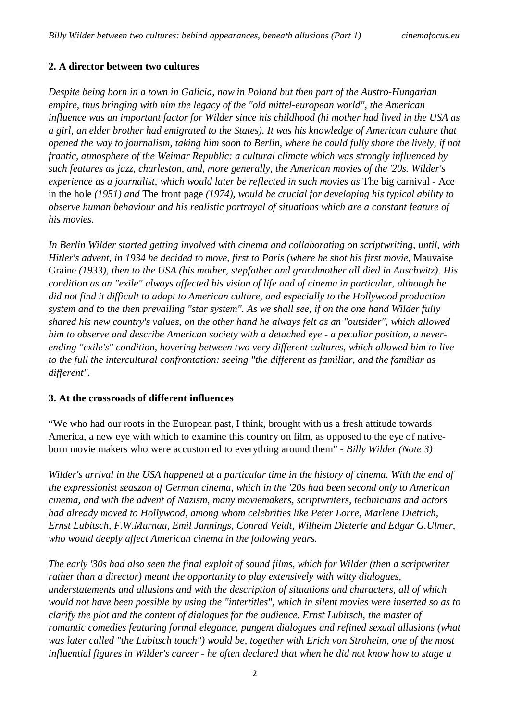# **2. A director between two cultures**

*Despite being born in a town in Galicia, now in Poland but then part of the Austro-Hungarian empire, thus bringing with him the legacy of the "old mittel-european world", the American influence was an important factor for Wilder since his childhood (hi mother had lived in the USA as a girl, an elder brother had emigrated to the States). It was his knowledge of American culture that opened the way to journalism, taking him soon to Berlin, where he could fully share the lively, if not frantic, atmosphere of the Weimar Republic: a cultural climate which was strongly influenced by such features as jazz, charleston, and, more generally, the American movies of the '20s. Wilder's experience as a journalist, which would later be reflected in such movies as* The big carnival - Ace in the hole *(1951) and* The front page *(1974), would be crucial for developing his typical ability to observe human behaviour and his realistic portrayal of situations which are a constant feature of his movies.*

*In Berlin Wilder started getting involved with cinema and collaborating on scriptwriting, until, with Hitler's advent, in 1934 he decided to move, first to Paris (where he shot his first movie,* Mauvaise Graine *(1933), then to the USA (his mother, stepfather and grandmother all died in Auschwitz). His condition as an "exile" always affected his vision of life and of cinema in particular, although he did not find it difficult to adapt to American culture, and especially to the Hollywood production system and to the then prevailing "star system". As we shall see, if on the one hand Wilder fully shared his new country's values, on the other hand he always felt as an "outsider", which allowed him to observe and describe American society with a detached eye - a peculiar position, a neverending "exile's" condition, hovering between two very different cultures, which allowed him to live to the full the intercultural confrontation: seeing "the different as familiar, and the familiar as different".*

# **3. At the crossroads of different influences**

"We who had our roots in the European past, I think, brought with us a fresh attitude towards America, a new eye with which to examine this country on film, as opposed to the eye of nativeborn movie makers who were accustomed to everything around them" - *Billy Wilder (Note 3)*

*Wilder's arrival in the USA happened at a particular time in the history of cinema. With the end of the expressionist seaszon of German cinema, which in the '20s had been second only to American cinema, and with the advent of Nazism, many moviemakers, scriptwriters, technicians and actors had already moved to Hollywood, among whom celebrities like Peter Lorre, Marlene Dietrich, Ernst Lubitsch, F.W.Murnau, Emil Jannings, Conrad Veidt, Wilhelm Dieterle and Edgar G.Ulmer, who would deeply affect American cinema in the following years.*

*The early '30s had also seen the final exploit of sound films, which for Wilder (then a scriptwriter rather than a director) meant the opportunity to play extensively with witty dialogues, understatements and allusions and with the description of situations and characters, all of which would not have been possible by using the "intertitles", which in silent movies were inserted so as to clarify the plot and the content of dialogues for the audience. Ernst Lubitsch, the master of romantic comedies featuring formal elegance, pungent dialogues and refined sexual allusions (what was later called "the Lubitsch touch") would be, together with Erich von Stroheim, one of the most influential figures in Wilder's career - he often declared that when he did not know how to stage a*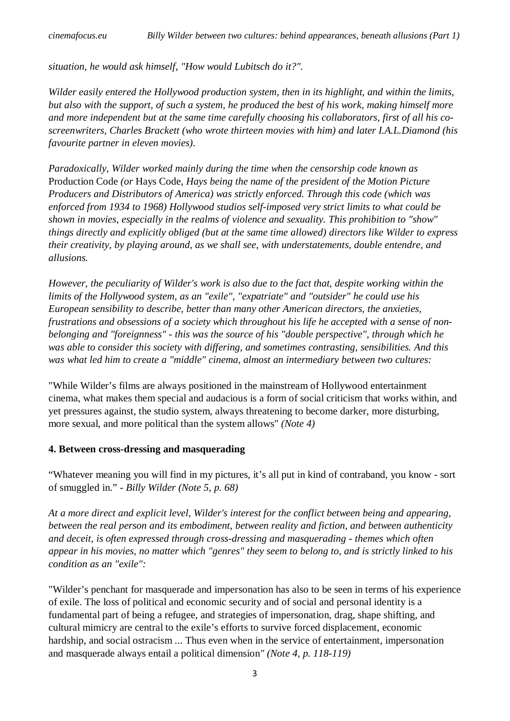*situation, he would ask himself, "How would Lubitsch do it?".*

*Wilder easily entered the Hollywood production system, then in its highlight, and within the limits, but also with the support, of such a system, he produced the best of his work, making himself more and more independent but at the same time carefully choosing his collaborators, first of all his coscreenwriters, Charles Brackett (who wrote thirteen movies with him) and later I.A.L.Diamond (his favourite partner in eleven movies).*

*Paradoxically, Wilder worked mainly during the time when the censorship code known as*  Production Code *(or* Hays Code*, Hays being the name of the president of the Motion Picture Producers and Distributors of America) was strictly enforced. Through this code (which was enforced from 1934 to 1968) Hollywood studios self-imposed very strict limits to what could be shown in movies, especially in the realms of violence and sexuality. This prohibition to "show" things directly and explicitly obliged (but at the same time allowed) directors like Wilder to express their creativity, by playing around, as we shall see, with understatements, double entendre, and allusions.*

*However, the peculiarity of Wilder's work is also due to the fact that, despite working within the limits of the Hollywood system, as an "exile", "expatriate" and "outsider" he could use his European sensibility to describe, better than many other American directors, the anxieties, frustrations and obsessions of a society which throughout his life he accepted with a sense of nonbelonging and "foreignness" - this was the source of his "double perspective", through which he was able to consider this society with differing, and sometimes contrasting, sensibilities. And this was what led him to create a "middle" cinema, almost an intermediary between two cultures:*

"While Wilder's films are always positioned in the mainstream of Hollywood entertainment cinema, what makes them special and audacious is a form of social criticism that works within, and yet pressures against, the studio system, always threatening to become darker, more disturbing, more sexual, and more political than the system allows" *(Note 4)*

# **4. Between cross-dressing and masquerading**

"Whatever meaning you will find in my pictures, it's all put in kind of contraband, you know - sort of smuggled in." - *Billy Wilder (Note 5, p. 68)*

*At a more direct and explicit level, Wilder's interest for the conflict between being and appearing, between the real person and its embodiment, between reality and fiction, and between authenticity and deceit, is often expressed through cross-dressing and masquerading - themes which often appear in his movies, no matter which "genres" they seem to belong to, and is strictly linked to his condition as an "exile":*

"Wilder's penchant for masquerade and impersonation has also to be seen in terms of his experience of exile. The loss of political and economic security and of social and personal identity is a fundamental part of being a refugee, and strategies of impersonation, drag, shape shifting, and cultural mimicry are central to the exile's efforts to survive forced displacement, economic hardship, and social ostracism ... Thus even when in the service of entertainment, impersonation and masquerade always entail a political dimension*" (Note 4, p. 118-119)*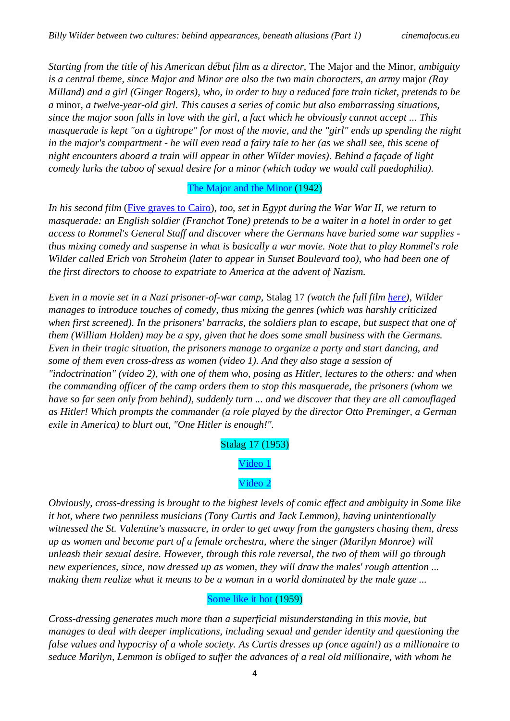*Starting from the title of his American début film as a director,* The Major and the Minor*, ambiguity is a central theme, since Major and Minor are also the two main characters, an army* major *(Ray Milland) and a girl (Ginger Rogers), who, in order to buy a reduced fare train ticket, pretends to be a* minor*, a twelve-year-old girl. This causes a series of comic but also embarrassing situations, since the major soon falls in love with the girl, a fact which he obviously cannot accept ... This masquerade is kept "on a tightrope" for most of the movie, and the "girl" ends up spending the night in the major's compartment - he will even read a fairy tale to her (as we shall see, this scene of night encounters aboard a train will appear in other Wilder movies). Behind a façade of light comedy lurks the taboo of sexual desire for a minor (which today we would call paedophilia).*

#### [The Major and the Minor](https://youtu.be/yq6kgy-chlk) (1942)

*In his second film* [\(Five graves to Cairo\)](https://youtu.be/6JS9vKMp8JA)*, too, set in Egypt during the War War II, we return to masquerade: an English soldier (Franchot Tone) pretends to be a waiter in a hotel in order to get access to Rommel's General Staff and discover where the Germans have buried some war supplies thus mixing comedy and suspense in what is basically a war movie. Note that to play Rommel's role Wilder called Erich von Stroheim (later to appear in Sunset Boulevard too), who had been one of the first directors to choose to expatriate to America at the advent of Nazism.*

*Even in a movie set in a Nazi prisoner-of-war camp,* Stalag 17 *(watch the full film [here\)](https://youtu.be/ZKc2GJk2OLQ), Wilder manages to introduce touches of comedy, thus mixing the genres (which was harshly criticized when first screened). In the prisoners' barracks, the soldiers plan to escape, but suspect that one of them (William Holden) may be a spy, given that he does some small business with the Germans. Even in their tragic situation, the prisoners manage to organize a party and start dancing, and some of them even cross-dress as women (video 1). And they also stage a session of "indoctrination" (video 2), with one of them who, posing as Hitler, lectures to the others: and when the commanding officer of the camp orders them to stop this masquerade, the prisoners (whom we have so far seen only from behind), suddenly turn ... and we discover that they are all camouflaged as Hitler! Which prompts the commander (a role played by the director Otto Preminger, a German exile in America) to blurt out, "One Hitler is enough!".*

Stalag 17 (1953)

[Video 1](https://youtu.be/qyo1HCPNgUM)

[Video 2](https://youtu.be/jEi5PAFkiNI)

*Obviously, cross-dressing is brought to the highest levels of comic effect and ambiguity in Some like it hot, where two penniless musicians (Tony Curtis and Jack Lemmon), having unintentionally witnessed the St. Valentine's massacre, in order to get away from the gangsters chasing them, dress up as women and become part of a female orchestra, where the singer (Marilyn Monroe) will unleash their sexual desire. However, through this role reversal, the two of them will go through new experiences, since, now dressed up as women, they will draw the males' rough attention ... making them realize what it means to be a woman in a world dominated by the male gaze ...*

# [Some like it hot](https://youtu.be/fbQqnJw7xL0) (1959)

*Cross-dressing generates much more than a superficial misunderstanding in this movie, but manages to deal with deeper implications, including sexual and gender identity and questioning the false values and hypocrisy of a whole society. As Curtis dresses up (once again!) as a millionaire to seduce Marilyn, Lemmon is obliged to suffer the advances of a real old millionaire, with whom he*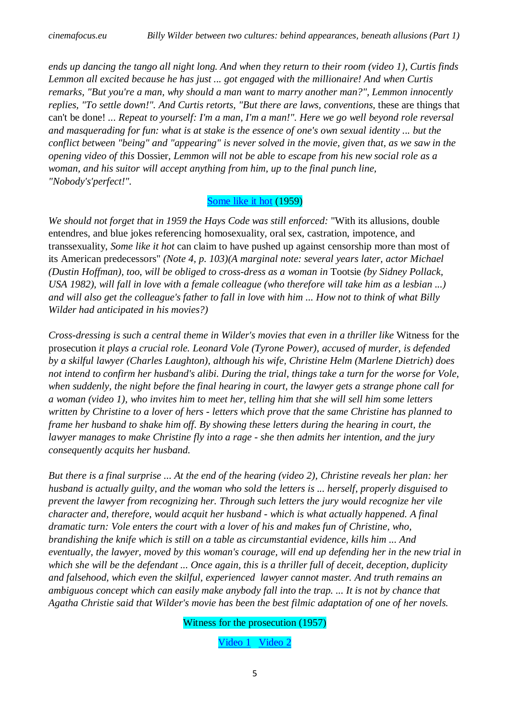*ends up dancing the tango all night long. And when they return to their room (video 1), Curtis finds Lemmon all excited because he has just ... got engaged with the millionaire! And when Curtis remarks, "But you're a man, why should a man want to marry another man?", Lemmon innocently replies, "To settle down!". And Curtis retorts, "But there are laws, conventions, these are things that* can't be done! *... Repeat to yourself: I'm a man, I'm a man!". Here we go well beyond role reversal and masquerading for fun: what is at stake is the essence of one's own sexual identity ... but the conflict between "being" and "appearing" is never solved in the movie, given that, as we saw in the opening video of this* Dossier*, Lemmon will not be able to escape from his new social role as a woman, and his suitor will accept anything from him, up to the final punch line, "Nobody's'perfect!".*

#### [Some like it hot](https://youtu.be/8-n-ybKQ_X0) (1959)

*We should not forget that in 1959 the Hays Code was still enforced:* "With its allusions, double entendres, and blue jokes referencing homosexuality, oral sex, castration, impotence, and transsexuality, *Some like it hot* can claim to have pushed up against censorship more than most of its American predecessors" *(Note 4, p. 103)(A marginal note: several years later, actor Michael (Dustin Hoffman), too, will be obliged to cross-dress as a woman in* Tootsie *(by Sidney Pollack, USA 1982), will fall in love with a female colleague (who therefore will take him as a lesbian ...) and will also get the colleague's father to fall in love with him ... How not to think of what Billy Wilder had anticipated in his movies?)*

*Cross-dressing is such a central theme in Wilder's movies that even in a thriller like* Witness for the prosecution *it plays a crucial role. Leonard Vole (Tyrone Power), accused of murder, is defended by a skilful lawyer (Charles Laughton), although his wife, Christine Helm (Marlene Dietrich) does not intend to confirm her husband's alibi. During the trial, things take a turn for the worse for Vole, when suddenly, the night before the final hearing in court, the lawyer gets a strange phone call for a woman (video 1), who invites him to meet her, telling him that she will sell him some letters written by Christine to a lover of hers - letters which prove that the same Christine has planned to frame her husband to shake him off. By showing these letters during the hearing in court, the lawyer manages to make Christine fly into a rage - she then admits her intention, and the jury consequently acquits her husband.*

*But there is a final surprise ... At the end of the hearing (video 2), Christine reveals her plan: her husband is actually guilty, and the woman who sold the letters is ... herself, properly disguised to prevent the lawyer from recognizing her. Through such letters the jury would recognize her vile character and, therefore, would acquit her husband - which is what actually happened. A final dramatic turn: Vole enters the court with a lover of his and makes fun of Christine, who, brandishing the knife which is still on a table as circumstantial evidence, kills him ... And eventually, the lawyer, moved by this woman's courage, will end up defending her in the new trial in which she will be the defendant ... Once again, this is a thriller full of deceit, deception, duplicity and falsehood, which even the skilful, experienced lawyer cannot master. And truth remains an ambiguous concept which can easily make anybody fall into the trap. ... It is not by chance that Agatha Christie said that Wilder's movie has been the best filmic adaptation of one of her novels.*

Witness for the prosecution (1957)

[Video 1](https://youtu.be/sjkWibjhpIo) [Video 2](https://youtu.be/WAFeFl9H8O8)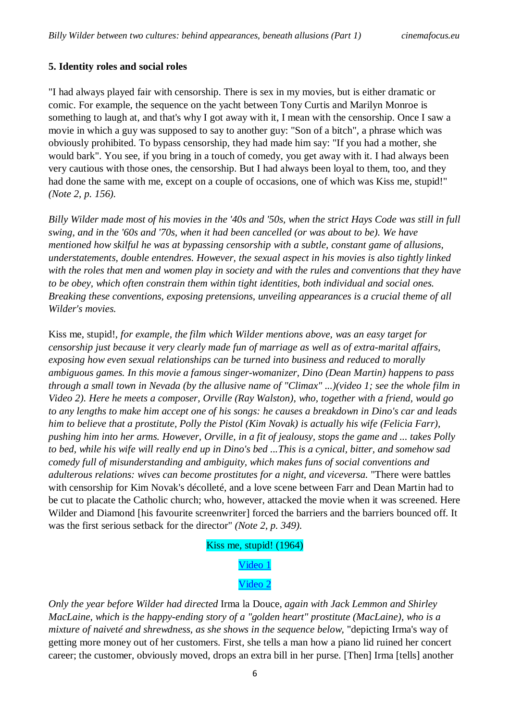#### **5. Identity roles and social roles**

"I had always played fair with censorship. There is sex in my movies, but is either dramatic or comic. For example, the sequence on the yacht between Tony Curtis and Marilyn Monroe is something to laugh at, and that's why I got away with it, I mean with the censorship. Once I saw a movie in which a guy was supposed to say to another guy: "Son of a bitch", a phrase which was obviously prohibited. To bypass censorship, they had made him say: "If you had a mother, she would bark". You see, if you bring in a touch of comedy, you get away with it. I had always been very cautious with those ones, the censorship. But I had always been loyal to them, too, and they had done the same with me, except on a couple of occasions, one of which was Kiss me, stupid!" *(Note 2, p. 156).*

*Billy Wilder made most of his movies in the '40s and '50s, when the strict Hays Code was still in full swing, and in the '60s and '70s, when it had been cancelled (or was about to be). We have mentioned how skilful he was at bypassing censorship with a subtle, constant game of allusions, understatements, double entendres. However, the sexual aspect in his movies is also tightly linked with the roles that men and women play in society and with the rules and conventions that they have to be obey, which often constrain them within tight identities, both individual and social ones. Breaking these conventions, exposing pretensions, unveiling appearances is a crucial theme of all Wilder's movies.*

Kiss me, stupid!*, for example, the film which Wilder mentions above, was an easy target for censorship just because it very clearly made fun of marriage as well as of extra-marital affairs, exposing how even sexual relationships can be turned into business and reduced to morally ambiguous games. In this movie a famous singer-womanizer, Dino (Dean Martin) happens to pass through a small town in Nevada (by the allusive name of "Climax" ...)(video 1; see the whole film in Video 2). Here he meets a composer, Orville (Ray Walston), who, together with a friend, would go to any lengths to make him accept one of his songs: he causes a breakdown in Dino's car and leads him to believe that a prostitute, Polly the Pistol (Kim Novak) is actually his wife (Felicia Farr), pushing him into her arms. However, Orville, in a fit of jealousy, stops the game and ... takes Polly to bed, while his wife will really end up in Dino's bed ...This is a cynical, bitter, and somehow sad comedy full of misunderstanding and ambiguity, which makes funs of social conventions and adulterous relations: wives can become prostitutes for a night, and viceversa.* "There were battles with censorship for Kim Novak's décolleté, and a love scene between Farr and Dean Martin had to be cut to placate the Catholic church; who, however, attacked the movie when it was screened. Here Wilder and Diamond [his favourite screenwriter] forced the barriers and the barriers bounced off. It was the first serious setback for the director" *(Note 2, p. 349).*

#### Kiss me, stupid! (1964)

# [Video 1](https://youtu.be/maK3FcJvI-0)

#### [Video 2](https://youtu.be/J93hsMfadK8?list=PLLNbkS5oCSL7uQKds6K1KyAGKyLUmBdaU)

*Only the year before Wilder had directed* Irma la Douce*, again with Jack Lemmon and Shirley MacLaine, which is the happy-ending story of a "golden heart" prostitute (MacLaine), who is a mixture of naiveté and shrewdness, as she shows in the sequence below,* "depicting Irma's way of getting more money out of her customers. First, she tells a man how a piano lid ruined her concert career; the customer, obviously moved, drops an extra bill in her purse. [Then] Irma [tells] another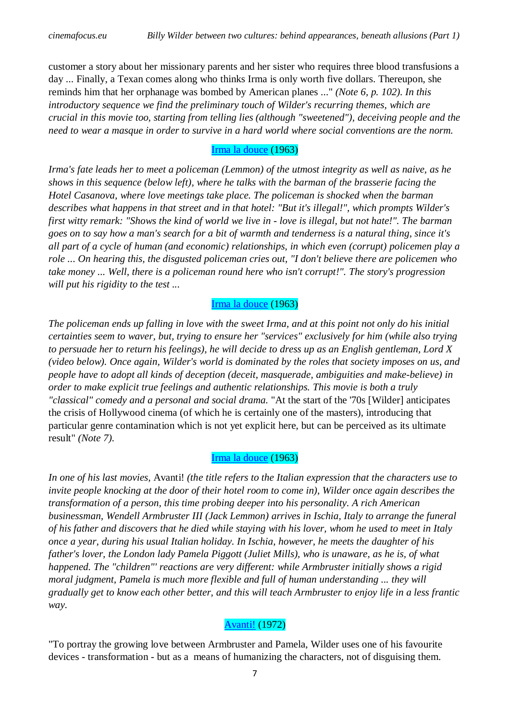customer a story about her missionary parents and her sister who requires three blood transfusions a day ... Finally, a Texan comes along who thinks Irma is only worth five dollars. Thereupon, she reminds him that her orphanage was bombed by American planes ..." *(Note 6, p. 102). In this introductory sequence we find the preliminary touch of Wilder's recurring themes, which are crucial in this movie too, starting from telling lies (although "sweetened"), deceiving people and the need to wear a masque in order to survive in a hard world where social conventions are the norm.*

# [Irma la douce](https://youtu.be/YNTuEJhAK_I) (1963)

*Irma's fate leads her to meet a policeman (Lemmon) of the utmost integrity as well as naive, as he shows in this sequence (below left), where he talks with the barman of the brasserie facing the Hotel Casanova, where love meetings take place. The policeman is shocked when the barman describes what happens in that street and in that hotel: "But it's illegal!", which prompts Wilder's first witty remark: "Shows the kind of world we live in - love is illegal, but not hate!". The barman goes on to say how a man's search for a bit of warmth and tenderness is a natural thing, since it's all part of a cycle of human (and economic) relationships, in which even (corrupt) policemen play a role ... On hearing this, the disgusted policeman cries out, "I don't believe there are policemen who take money ... Well, there is a policeman round here who isn't corrupt!". The story's progression will put his rigidity to the test ...*

# [Irma la douce](https://youtu.be/lLbWBsRVUAU?list=PL6vah4JNMAwXk8YdSYF5LK59ib_EOTgkO) (1963)

*The policeman ends up falling in love with the sweet Irma, and at this point not only do his initial certainties seem to waver, but, trying to ensure her "services" exclusively for him (while also trying to persuade her to return his feelings), he will decide to dress up as an English gentleman, Lord X (video below). Once again, Wilder's world is dominated by the roles that society imposes on us, and people have to adopt all kinds of deception (deceit, masquerade, ambiguities and make-believe) in order to make explicit true feelings and authentic relationships. This movie is both a truly "classical" comedy and a personal and social drama.* "At the start of the '70s [Wilder] anticipates the crisis of Hollywood cinema (of which he is certainly one of the masters), introducing that particular genre contamination which is not yet explicit here, but can be perceived as its ultimate result" *(Note 7).*

# [Irma la douce](https://youtu.be/VXPxIwL1e5g) (1963)

*In one of his last movies,* Avanti! *(the title refers to the Italian expression that the characters use to invite people knocking at the door of their hotel room to come in), Wilder once again describes the transformation of a person, this time probing deeper into his personality. A rich American businessman, Wendell Armbruster III (Jack Lemmon) arrives in Ischia, Italy to arrange the funeral of his father and discovers that he died while staying with his lover, whom he used to meet in Italy once a year, during his usual Italian holiday. In Ischia, however, he meets the daughter of his father's lover, the London lady Pamela Piggott (Juliet Mills), who is unaware, as he is, of what happened. The "children"' reactions are very different: while Armbruster initially shows a rigid moral judgment, Pamela is much more flexible and full of human understanding ... they will gradually get to know each other better, and this will teach Armbruster to enjoy life in a less frantic way.*

# [Avanti!](https://youtu.be/8iMbLlUStws) (1972)

"To portray the growing love between Armbruster and Pamela, Wilder uses one of his favourite devices - transformation - but as a means of humanizing the characters, not of disguising them.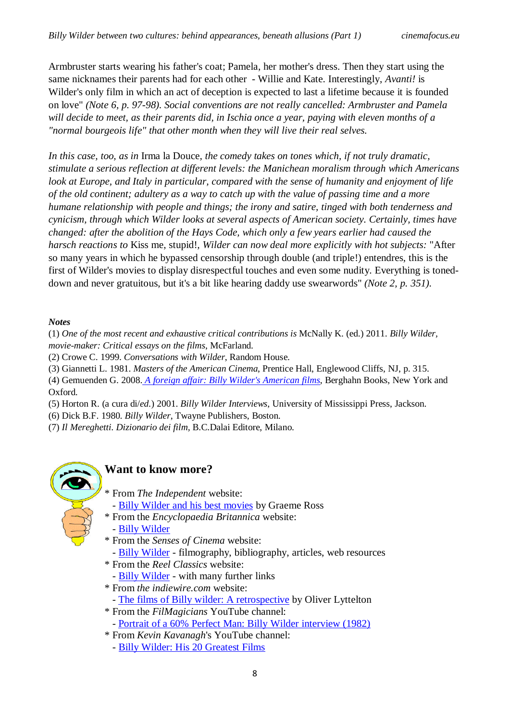Armbruster starts wearing his father's coat; Pamela, her mother's dress. Then they start using the same nicknames their parents had for each other - Willie and Kate. Interestingly, *Avanti!* is Wilder's only film in which an act of deception is expected to last a lifetime because it is founded on love" *(Note 6, p. 97-98). Social conventions are not really cancelled: Armbruster and Pamela will decide to meet, as their parents did, in Ischia once a year, paying with eleven months of a "normal bourgeois life" that other month when they will live their real selves.*

*In this case, too, as in* Irma la Douce*, the comedy takes on tones which, if not truly dramatic, stimulate a serious reflection at different levels: the Manichean moralism through which Americans look at Europe, and Italy in particular, compared with the sense of humanity and enjoyment of life of the old continent; adultery as a way to catch up with the value of passing time and a more humane relationship with people and things; the irony and satire, tinged with both tenderness and cynicism, through which Wilder looks at several aspects of American society. Certainly, times have changed: after the abolition of the Hays Code, which only a few years earlier had caused the harsch reactions to* Kiss me, stupid!*, Wilder can now deal more explicitly with hot subjects:* "After so many years in which he bypassed censorship through double (and triple!) entendres, this is the first of Wilder's movies to display disrespectful touches and even some nudity. Everything is toneddown and never gratuitous, but it's a bit like hearing daddy use swearwords" *(Note 2, p. 351).*

#### *Notes*

(1) *One of the most recent and exhaustive critical contributions is* McNally K. (ed.) 2011. *Billy Wilder, movie-maker: Critical essays on the films*, McFarland.

(2) Crowe C. 1999. *Conversations with Wilder*, Random House.

(3) Giannetti L. 1981. *Masters of the American Cinema*, Prentice Hall, Englewood Cliffs, NJ, p. 315.

(4) Gemuenden G. 2008. *[A foreign affair: Billy Wilder's American films](https://www.berghahnbooks.com/title/GemuendenForeign)*, Berghahn Books, New York and Oxford.

(5) Horton R. (a cura di/*ed.*) 2001. *Billy Wilder Interviews*, University of Mississippi Press, Jackson.

(6) Dick B.F. 1980. *Billy Wilder*, Twayne Publishers, Boston.

(7) *Il Mereghetti. Dizionario dei film,* B.C.Dalai Editore, Milano.



# **Want to know more?**

- \* From *The Independent* website: - [Billy Wilder and his best movies](https://www.independent.co.uk/arts-entertainment/films/billy-wilder-and-his-best-movies-a7521376.html) by Graeme Ross
- \* From the *Encyclopaedia Britannica* website:
	- [Billy Wilder](https://www.britannica.com/biography/Billy-Wilder)
- \* From the *Senses of Cinema* website:
	- [Billy Wilder](http://sensesofcinema.com/2002/great-directors/wilder/) filmography, bibliography, articles, web resources
- \* From the *Reel Classics* website:
- [Billy Wilder](http://www.reelclassics.com/Directors/Wilder/wilder.htm) with many further links
- \* From *the indiewire.com* website:
	- [The films of Billy wilder: A retrospective](https://www.indiewire.com/2012/03/the-films-of-billy-wilder-a-retrospective-252998/) by Oliver Lyttelton
- \* From the *FilMagicians* YouTube channel:
	- [Portrait of a 60% Perfect Man: Billy Wilder interview \(1982\)](https://www.youtube.com/watch?v=cg46YX1gqcU)
- \* From *Kevin Kavanagh*'s YouTube channel:
	- [Billy Wilder: His 20 Greatest Films](https://www.youtube.com/watch?v=93ERtbn4Frg&t=53s)